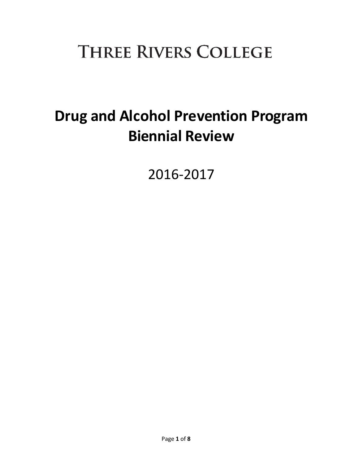# **THREE RIVERS COLLEGE**

## **Drug and Alcohol Prevention Program Biennial Review**

2016-2017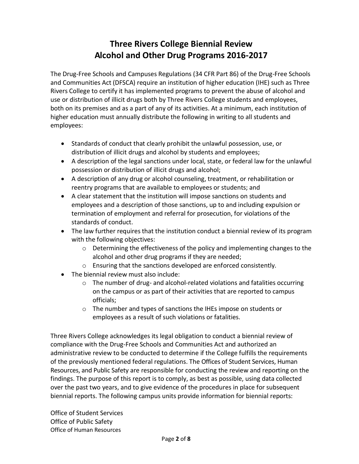## **Three Rivers College Biennial Review Alcohol and Other Drug Programs 2016-2017**

The Drug-Free Schools and Campuses Regulations (34 CFR Part 86) of the Drug-Free Schools and Communities Act (DFSCA) require an institution of higher education (IHE) such as Three Rivers College to certify it has implemented programs to prevent the abuse of alcohol and use or distribution of illicit drugs both by Three Rivers College students and employees, both on its premises and as a part of any of its activities. At a minimum, each institution of higher education must annually distribute the following in writing to all students and employees:

- Standards of conduct that clearly prohibit the unlawful possession, use, or distribution of illicit drugs and alcohol by students and employees;
- A description of the legal sanctions under local, state, or federal law for the unlawful possession or distribution of illicit drugs and alcohol;
- A description of any drug or alcohol counseling, treatment, or rehabilitation or reentry programs that are available to employees or students; and
- A clear statement that the institution will impose sanctions on students and employees and a description of those sanctions, up to and including expulsion or termination of employment and referral for prosecution, for violations of the standards of conduct.
- The law further requires that the institution conduct a biennial review of its program with the following objectives:
	- o Determining the effectiveness of the policy and implementing changes to the alcohol and other drug programs if they are needed;
	- o Ensuring that the sanctions developed are enforced consistently.
- The biennial review must also include:
	- $\circ$  The number of drug- and alcohol-related violations and fatalities occurring on the campus or as part of their activities that are reported to campus officials;
	- o The number and types of sanctions the IHEs impose on students or employees as a result of such violations or fatalities.

Three Rivers College acknowledges its legal obligation to conduct a biennial review of compliance with the Drug-Free Schools and Communities Act and authorized an administrative review to be conducted to determine if the College fulfills the requirements of the previously mentioned federal regulations. The Offices of Student Services, Human Resources, and Public Safety are responsible for conducting the review and reporting on the findings. The purpose of this report is to comply, as best as possible, using data collected over the past two years, and to give evidence of the procedures in place for subsequent biennial reports. The following campus units provide information for biennial reports:

Office of Student Services Office of Public Safety Office of Human Resources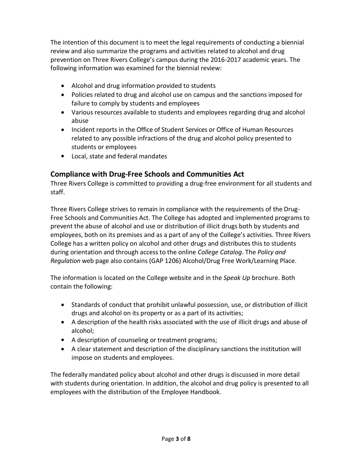The intention of this document is to meet the legal requirements of conducting a biennial review and also summarize the programs and activities related to alcohol and drug prevention on Three Rivers College's campus during the 2016-2017 academic years. The following information was examined for the biennial review:

- Alcohol and drug information provided to students
- Policies related to drug and alcohol use on campus and the sanctions imposed for failure to comply by students and employees
- Various resources available to students and employees regarding drug and alcohol abuse
- Incident reports in the Office of Student Services or Office of Human Resources related to any possible infractions of the drug and alcohol policy presented to students or employees
- Local, state and federal mandates

## **Compliance with Drug-Free Schools and Communities Act**

Three Rivers College is committed to providing a drug-free environment for all students and staff.

Three Rivers College strives to remain in compliance with the requirements of the Drug-Free Schools and Communities Act. The College has adopted and implemented programs to prevent the abuse of alcohol and use or distribution of illicit drugs both by students and employees, both on its premises and as a part of any of the College's activities. Three Rivers College has a written policy on alcohol and other drugs and distributes this to students during orientation and through access to the online *College Catalog*. The *Policy and Regulation* web page also contains (GAP 1206) Alcohol/Drug Free Work/Learning Place.

The information is located on the College website and in the *Speak Up* brochure. Both contain the following:

- Standards of conduct that prohibit unlawful possession, use, or distribution of illicit drugs and alcohol on its property or as a part of its activities;
- A description of the health risks associated with the use of illicit drugs and abuse of alcohol;
- A description of counseling or treatment programs;
- A clear statement and description of the disciplinary sanctions the institution will impose on students and employees.

The federally mandated policy about alcohol and other drugs is discussed in more detail with students during orientation. In addition, the alcohol and drug policy is presented to all employees with the distribution of the Employee Handbook.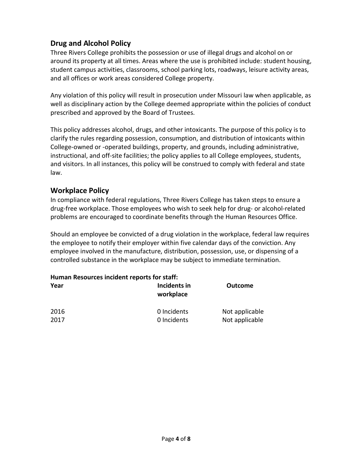## **Drug and Alcohol Policy**

Three Rivers College prohibits the possession or use of illegal drugs and alcohol on or around its property at all times. Areas where the use is prohibited include: student housing, student campus activities, classrooms, school parking lots, roadways, leisure activity areas, and all offices or work areas considered College property.

Any violation of this policy will result in prosecution under Missouri law when applicable, as well as disciplinary action by the College deemed appropriate within the policies of conduct prescribed and approved by the Board of Trustees.

This policy addresses alcohol, drugs, and other intoxicants. The purpose of this policy is to clarify the rules regarding possession, consumption, and distribution of intoxicants within College-owned or -operated buildings, property, and grounds, including administrative, instructional, and off-site facilities; the policy applies to all College employees, students, and visitors. In all instances, this policy will be construed to comply with federal and state law.

## **Workplace Policy**

In compliance with federal regulations, Three Rivers College has taken steps to ensure a drug-free workplace. Those employees who wish to seek help for drug- or alcohol-related problems are encouraged to coordinate benefits through the Human Resources Office.

Should an employee be convicted of a drug violation in the workplace, federal law requires the employee to notify their employer within five calendar days of the conviction. Any employee involved in the manufacture, distribution, possession, use, or dispensing of a controlled substance in the workplace may be subject to immediate termination.

| Human Resources incident reports for staff: |                            |                                  |  |
|---------------------------------------------|----------------------------|----------------------------------|--|
| Year                                        | Incidents in<br>workplace  | <b>Outcome</b>                   |  |
| 2016<br>2017                                | 0 Incidents<br>0 Incidents | Not applicable<br>Not applicable |  |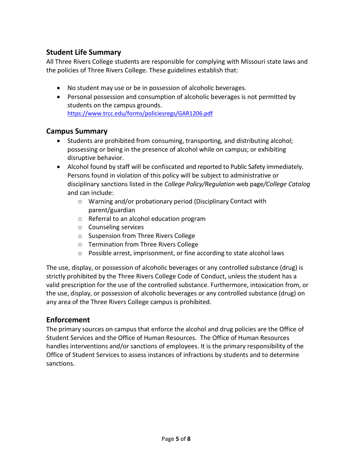## **Student Life Summary**

All Three Rivers College students are responsible for complying with Missouri state laws and the policies of Three Rivers College. These guidelines establish that:

- No student may use or be in possession of alcoholic beverages.
- Personal possession and consumption of alcoholic beverages is not permitted by students on the campus grounds. <https://www.trcc.edu/forms/policiesregs/GAR1206.pdf>

## **Campus Summary**

- Students are prohibited from consuming, transporting, and distributing alcohol; possessing or being in the presence of alcohol while on campus; or exhibiting disruptive behavior.
- Alcohol found by staff will be confiscated and reported to Public Safety immediately. Persons found in violation of this policy will be subject to administrative or disciplinary sanctions listed in the *College Policy/Regulation* web page*/College Catalog*  and can include:
	- o Warning and/or probationary period (Disciplinary Contact with parent/guardian
	- o Referral to an alcohol education program
	- o Counseling services
	- o Suspension from Three Rivers College
	- o Termination from Three Rivers College
	- o Possible arrest, imprisonment, or fine according to state alcohol laws

The use, display, or possession of alcoholic beverages or any controlled substance (drug) is strictly prohibited by the Three Rivers College Code of Conduct, unless the student has a valid prescription for the use of the controlled substance. Furthermore, intoxication from, or the use, display, or possession of alcoholic beverages or any controlled substance (drug) on any area of the Three Rivers College campus is prohibited.

#### **Enforcement**

The primary sources on campus that enforce the alcohol and drug policies are the Office of Student Services and the Office of Human Resources. The Office of Human Resources handles interventions and/or sanctions of employees. It is the primary responsibility of the Office of Student Services to assess instances of infractions by students and to determine sanctions.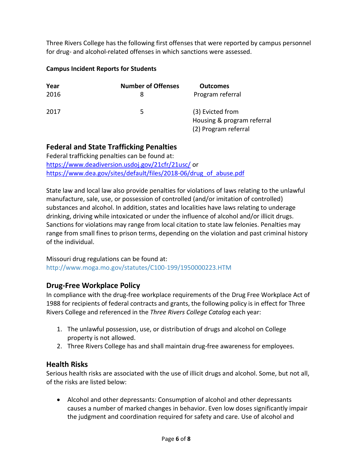Three Rivers College has the following first offenses that were reported by campus personnel for drug- and alcohol-related offenses in which sanctions were assessed.

#### **Campus Incident Reports for Students**

| Year<br>2016 | <b>Number of Offenses</b> | <b>Outcomes</b><br>Program referral                                    |
|--------------|---------------------------|------------------------------------------------------------------------|
| 2017         | 5.                        | (3) Evicted from<br>Housing & program referral<br>(2) Program referral |

## **Federal and State Trafficking Penalties**

Federal trafficking penalties can be found at: <https://www.deadiversion.usdoj.gov/21cfr/21usc/> or [https://www.dea.gov/sites/default/files/2018-06/drug\\_of\\_abuse.pdf](https://www.dea.gov/sites/default/files/2018-06/drug_of_abuse.pdf)

State law and local law also provide penalties for violations of laws relating to the unlawful manufacture, sale, use, or possession of controlled (and/or imitation of controlled) substances and alcohol. In addition, states and localities have laws relating to underage drinking, driving while intoxicated or under the influence of alcohol and/or illicit drugs. Sanctions for violations may range from local citation to state law felonies. Penalties may range from small fines to prison terms, depending on the violation and past criminal history of the individual.

Missouri drug regulations can be found at: <http://www.moga.mo.gov/statutes/C100-199/1950000223.HTM>

#### **Drug-Free Workplace Policy**

In compliance with the drug-free workplace requirements of the Drug Free Workplace Act of 1988 for recipients of federal contracts and grants, the following policy is in effect for Three Rivers College and referenced in the *Three Rivers College Catalog* each year:

- 1. The unlawful possession, use, or distribution of drugs and alcohol on College property is not allowed.
- 2. Three Rivers College has and shall maintain drug-free awareness for employees.

#### **Health Risks**

Serious health risks are associated with the use of illicit drugs and alcohol. Some, but not all, of the risks are listed below:

 Alcohol and other depressants: Consumption of alcohol and other depressants causes a number of marked changes in behavior. Even low doses significantly impair the judgment and coordination required for safety and care. Use of alcohol and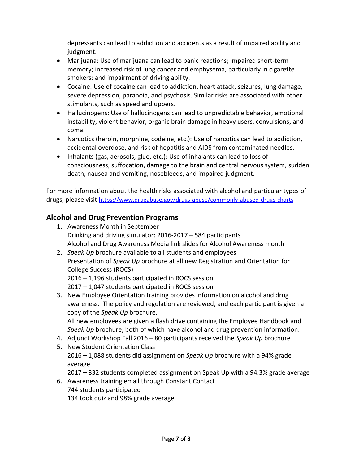depressants can lead to addiction and accidents as a result of impaired ability and judgment.

- Marijuana: Use of marijuana can lead to panic reactions; impaired short-term memory; increased risk of lung cancer and emphysema, particularly in cigarette smokers; and impairment of driving ability.
- Cocaine: Use of cocaine can lead to addiction, heart attack, seizures, lung damage, severe depression, paranoia, and psychosis. Similar risks are associated with other stimulants, such as speed and uppers.
- Hallucinogens: Use of hallucinogens can lead to unpredictable behavior, emotional instability, violent behavior, organic brain damage in heavy users, convulsions, and coma.
- Narcotics (heroin, morphine, codeine, etc.): Use of narcotics can lead to addiction, accidental overdose, and risk of hepatitis and AIDS from contaminated needles.
- Inhalants (gas, aerosols, glue, etc.): Use of inhalants can lead to loss of consciousness, suffocation, damage to the brain and central nervous system, sudden death, nausea and vomiting, nosebleeds, and impaired judgment.

For more information about the health risks associated with alcohol and particular types of drugs, please visit <https://www.drugabuse.gov/drugs-abuse/commonly-abused-drugs-charts>

## **Alcohol and Drug Prevention Programs**

- 1. Awareness Month in September Drinking and driving simulator: 2016-2017 – 584 participants Alcohol and Drug Awareness Media link slides for Alcohol Awareness month
- 2. *Speak Up* brochure available to all students and employees Presentation of *Speak Up* brochure at all new Registration and Orientation for College Success (ROCS) 2016 – 1,196 students participated in ROCS session 2017 – 1,047 students participated in ROCS session
- 3. New Employee Orientation training provides information on alcohol and drug awareness. The policy and regulation are reviewed, and each participant is given a copy of the *Speak Up* brochure.

All new employees are given a flash drive containing the Employee Handbook and *Speak Up* brochure, both of which have alcohol and drug prevention information.

- 4. Adjunct Workshop Fall 2016 80 participants received the *Speak Up* brochure
- 5. New Student Orientation Class 2016 – 1,088 students did assignment on *Speak Up* brochure with a 94% grade average

2017 – 832 students completed assignment on Speak Up with a 94.3% grade average

6. Awareness training email through Constant Contact 744 students participated 134 took quiz and 98% grade average

Page **7** of **8**